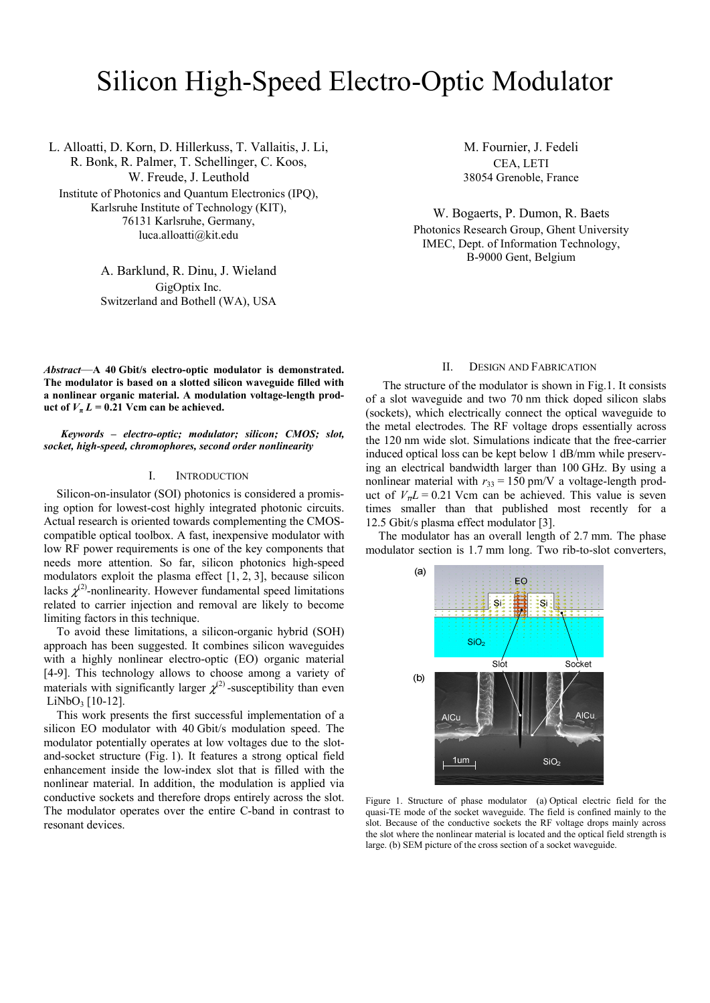# Silicon High-Speed Electro-Optic Modulator

L. Alloatti, D. Korn, D. Hillerkuss, T. Vallaitis, J. Li, R. Bonk, R. Palmer, T. Schellinger, C. Koos, W. Freude, J. Leuthold

Institute of Photonics and Quantum Electronics (IPQ), Karlsruhe Institute of Technology (KIT), 76131 Karlsruhe, Germany, luca.alloatti@kit.edu

> A. Barklund, R. Dinu, J. Wieland GigOptix Inc. Switzerland and Bothell (WA), USA

*Abstract*—**A 40 Gbit/s electro-optic modulator is demonstrated. The modulator is based on a slotted silicon waveguide filled with a nonlinear organic material. A modulation voltage-length product of**  $V_{\pi} L = 0.21$  **Vcm can be achieved.** 

*Keywords – electro-optic; modulator; silicon; CMOS; slot, socket, high-speed, chromophores, second order nonlinearity* 

## I. INTRODUCTION

Silicon-on-insulator (SOI) photonics is considered a promising option for lowest-cost highly integrated photonic circuits. Actual research is oriented towards complementing the CMOScompatible optical toolbox. A fast, inexpensive modulator with low RF power requirements is one of the key components that needs more attention. So far, silicon photonics high-speed modulators exploit the plasma effect [1, 2, 3], because silicon lacks  $\chi^{(2)}$ -nonlinearity. However fundamental speed limitations related to carrier injection and removal are likely to become limiting factors in this technique.

To avoid these limitations, a silicon-organic hybrid (SOH) approach has been suggested. It combines silicon waveguides with a highly nonlinear electro-optic (EO) organic material [4-9]. This technology allows to choose among a variety of materials with significantly larger  $\chi^{(2)}$ -susceptibility than even  $LiNbO<sub>3</sub>$  [10-12].

This work presents the first successful implementation of a silicon EO modulator with 40 Gbit/s modulation speed. The modulator potentially operates at low voltages due to the slotand-socket structure (Fig. 1). It features a strong optical field enhancement inside the low-index slot that is filled with the nonlinear material. In addition, the modulation is applied via conductive sockets and therefore drops entirely across the slot. The modulator operates over the entire C-band in contrast to resonant devices.

M. Fournier, J. Fedeli CEA, LETI 38054 Grenoble, France

W. Bogaerts, P. Dumon, R. Baets Photonics Research Group, Ghent University IMEC, Dept. of Information Technology, B-9000 Gent, Belgium

#### II. DESIGN AND FABRICATION

The structure of the modulator is shown in Fig.1. It consists of a slot waveguide and two 70 nm thick doped silicon slabs (sockets), which electrically connect the optical waveguide to the metal electrodes. The RF voltage drops essentially across the 120 nm wide slot. Simulations indicate that the free-carrier induced optical loss can be kept below 1 dB/mm while preserving an electrical bandwidth larger than 100 GHz. By using a nonlinear material with  $r_{33} = 150$  pm/V a voltage-length product of  $V<sub>\pi</sub> L = 0.21$  Vcm can be achieved. This value is seven times smaller than that published most recently for a 12.5 Gbit/s plasma effect modulator [3].

The modulator has an overall length of 2.7 mm. The phase modulator section is 1.7 mm long. Two rib-to-slot converters,



Figure 1. Structure of phase modulator (a) Optical electric field for the quasi-TE mode of the socket waveguide. The field is confined mainly to the slot. Because of the conductive sockets the RF voltage drops mainly across the slot where the nonlinear material is located and the optical field strength is large. (b) SEM picture of the cross section of a socket waveguide.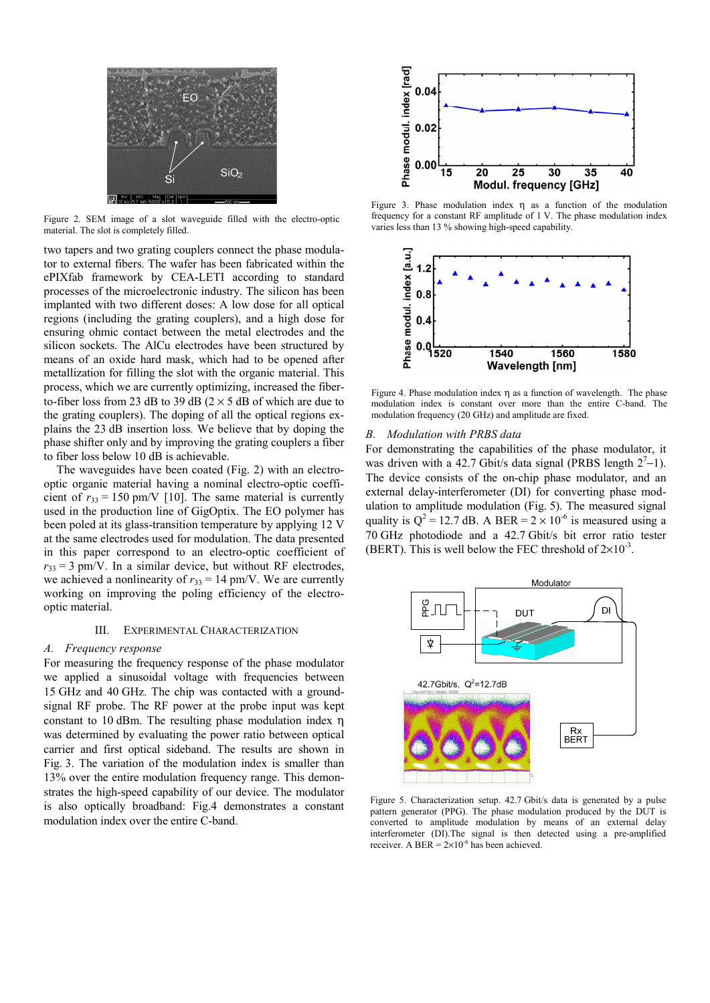

Figure 2. SEM image of a slot waveguide filled with the electro-optic material. The slot is completely filled.

two tapers and two grating couplers connect the phase modulator to external fibers. The wafer has been fabricated within the ePIXfab framework by CEA-LETI according to standard processes of the microelectronic industry. The silicon has been implanted with two different doses: A low dose for all optical regions (including the grating couplers), and a high dose for ensuring ohmic contact between the metal electrodes and the silicon sockets. The AlCu electrodes have been structured by means of an oxide hard mask, which had to be opened after metallization for filling the slot with the organic material. This process, which we are currently optimizing, increased the fiberto-fiber loss from 23 dB to 39 dB  $(2 \times 5$  dB of which are due to the grating couplers). The doping of all the optical regions explains the 23 dB insertion loss. We believe that by doping the phase shifter only and by improving the grating couplers a fiber to fiber loss below 10 dB is achievable.

The waveguides have been coated (Fig. 2) with an electrooptic organic material having a nominal electro-optic coefficient of  $r_{33} = 150$  pm/V [10]. The same material is currently used in the production line of GigOptix. The EO polymer has been poled at its glass-transition temperature by applying 12 V at the same electrodes used for modulation. The data presented in this paper correspond to an electro-optic coefficient of  $r_{33} = 3$  pm/V. In a similar device, but without RF electrodes, we achieved a nonlinearity of  $r_{33} = 14$  pm/V. We are currently working on improving the poling efficiency of the electrooptic material.

#### III. EXPERIMENTAL CHARACTERIZATION

#### *A. Frequency response*

For measuring the frequency response of the phase modulator we applied a sinusoidal voltage with frequencies between 15 GHz and 40 GHz. The chip was contacted with a groundsignal RF probe. The RF power at the probe input was kept constant to 10 dBm. The resulting phase modulation index η was determined by evaluating the power ratio between optical carrier and first optical sideband. The results are shown in Fig. 3. The variation of the modulation index is smaller than 13% over the entire modulation frequency range. This demonstrates the high-speed capability of our device. The modulator is also optically broadband: Fig.4 demonstrates a constant modulation index over the entire C-band.



Figure 3. Phase modulation index η as a function of the modulation frequency for a constant RF amplitude of 1 V. The phase modulation index varies less than 13 % showing high-speed capability.



Figure 4. Phase modulation index  $\eta$  as a function of wavelength. The phase modulation index is constant over more than the entire C-band. The modulation frequency (20 GHz) and amplitude are fixed.

### *B. Modulation with PRBS data*

For demonstrating the capabilities of the phase modulator, it was driven with a 42.7 Gbit/s data signal (PRBS length  $2^7$ –1). The device consists of the on-chip phase modulator, and an external delay-interferometer (DI) for converting phase modulation to amplitude modulation (Fig. 5). The measured signal quality is  $Q^2 = 12.7$  dB. A BER =  $2 \times 10^{-6}$  is measured using a 70 GHz photodiode and a 42.7 Gbit/s bit error ratio tester (BERT). This is well below the FEC threshold of  $2\times10^{-3}$ .



Figure 5. Characterization setup. 42.7 Gbit/s data is generated by a pulse pattern generator (PPG). The phase modulation produced by the DUT is converted to amplitude modulation by means of an external delay interferometer (DI).The signal is then detected using a pre-amplified receiver. A BER =  $2 \times 10^{-6}$  has been achieved.